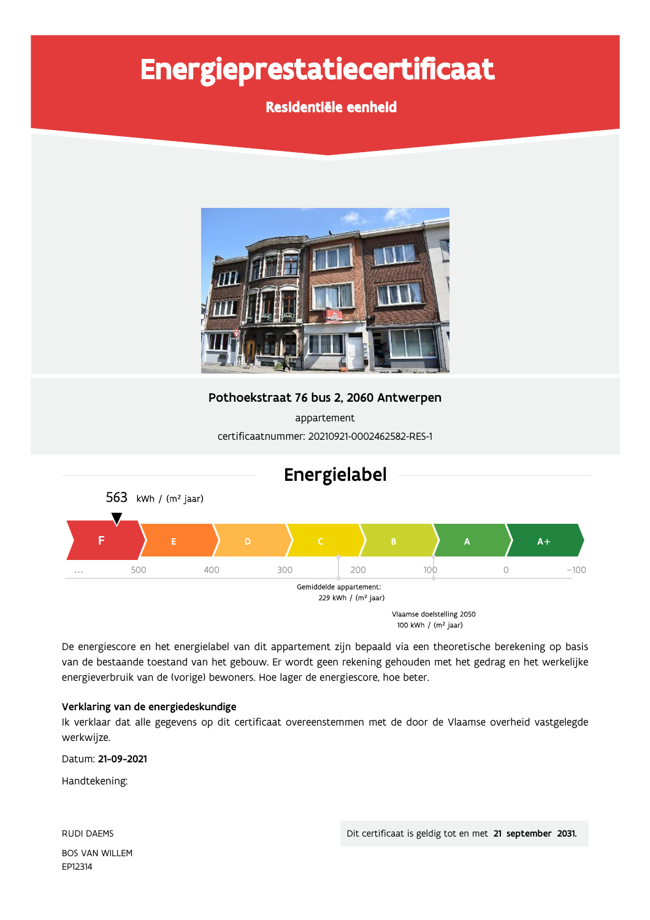# Energieprestatiecertificaat

Residentiële eenheid



Pothoekstraat 76 bus 2, 2060 Antwerpen

appartement certificaatnummer: 20210921-0002462582-RES-1



De energiescore en het energielabel van dit appartement zijn bepaald via een theoretische berekening op basis van de bestaande toestand van het gebouw. Er wordt geen rekening gehouden met het gedrag en het werkelijke energieverbruik van de (vorige) bewoners. Hoe lager de energiescore, hoe beter.

## Verklaring van de energiedeskundige

Ik verklaar dat alle gegevens op dit certificaat overeenstemmen met de door de Vlaamse overheid vastgelegde werkwijze.

Datum: 21-09-2021

Handtekening:

**RUDI DAEMS BOS VAN WILLEM** EP12314

Dit certificaat is geldig tot en met 21 september 2031.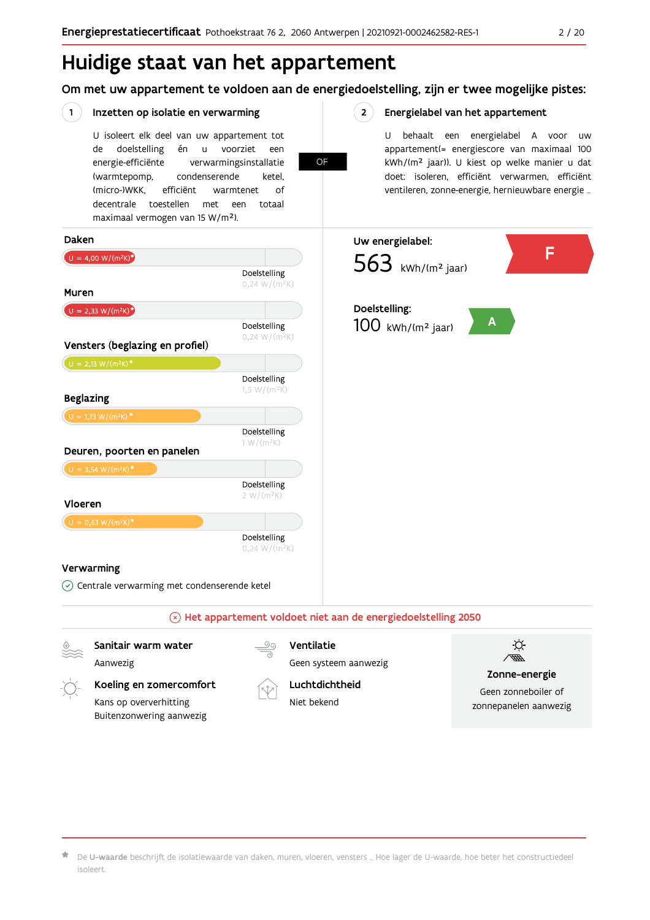## Huidige staat van het appartement

Om met uw appartement te voldoen aan de energiedoelstelling, zijn er twee mogelijke pistes:

OF

 $2^{\circ}$ 

#### $(1)$ Inzetten op isolatie en verwarming

Kans op oververhitting

Buitenzonwering aanwezig

U isoleert elk deel van uw appartement tot doelstelling de én  $\sf u$ voorziet een energie-efficiënte verwarmingsinstallatie (warmtepomp, condenserende ketel, (micro-)WKK. efficiënt warmtenet  $\bigcap_{ }$ decentrale toestellen met een totaal maximaal vermogen van 15 W/m<sup>2</sup>).

### Energielabel van het appartement

U behaalt een energielabel A voor  $_{\text{IIW}}$ appartement(= energiescore van maximaal 100 kWh/(m<sup>2</sup> jaar)). U kiest op welke manier u dat doet: isoleren, efficiënt verwarmen, efficiënt ventileren, zonne-energie, hernieuwbare energie ...



Niet bekend

Geen zonneboiler of zonnepanelen aanwezig

De U-waarde beschrijft de isolatiewaarde van daken, muren, vloeren, vensters ... Hoe lager de U-waarde, hoe beter het constructiedeel isoleert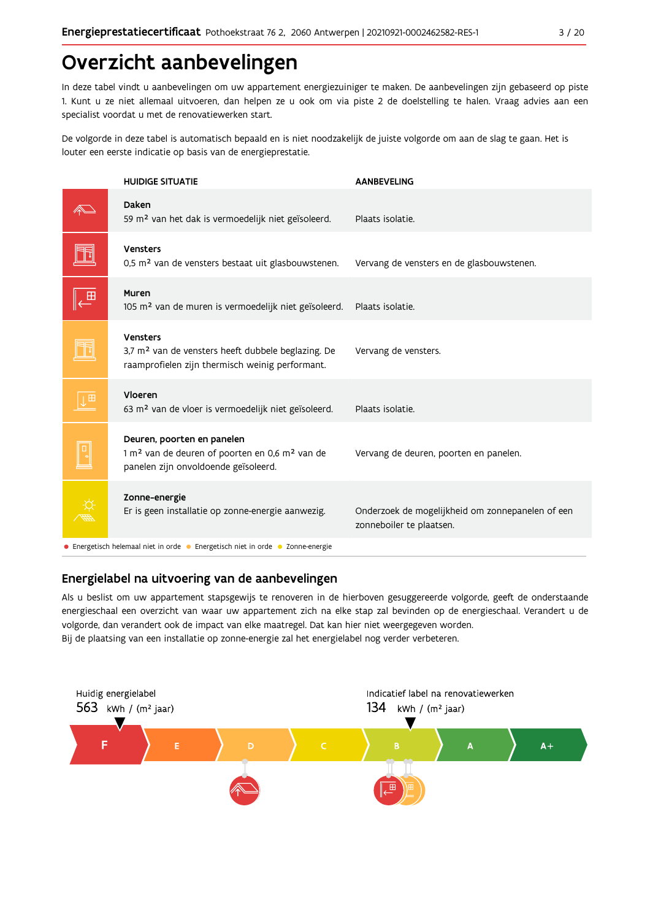## Overzicht aanbevelingen

In deze tabel vindt u aanbevelingen om uw appartement energiezuiniger te maken. De aanbevelingen zijn gebaseerd op piste 1. Kunt u ze niet allemaal uitvoeren, dan helpen ze u ook om via piste 2 de doelstelling te halen. Vraag advies aan een specialist voordat u met de renovatiewerken start.

De volgorde in deze tabel is automatisch bepaald en is niet noodzakelijk de juiste volgorde om aan de slag te gaan. Het is louter een eerste indicatie op basis van de energieprestatie.

|              | <b>HUIDIGE SITUATIE</b>                                                                                                                      | <b>AANBEVELING</b>                                                           |
|--------------|----------------------------------------------------------------------------------------------------------------------------------------------|------------------------------------------------------------------------------|
|              | Daken<br>59 m <sup>2</sup> van het dak is vermoedelijk niet geïsoleerd.                                                                      | Plaats isolatie.                                                             |
|              | <b>Vensters</b><br>0,5 m <sup>2</sup> van de vensters bestaat uit glasbouwstenen.                                                            | Vervang de vensters en de glasbouwstenen.                                    |
| $\mathbf{H}$ | Muren<br>105 m <sup>2</sup> van de muren is vermoedelijk niet geïsoleerd.                                                                    | Plaats isolatie.                                                             |
|              | Vensters<br>3,7 m <sup>2</sup> van de vensters heeft dubbele beglazing. De<br>raamprofielen zijn thermisch weinig performant.                | Vervang de vensters.                                                         |
| $\mathbf{H}$ | Vloeren<br>63 m <sup>2</sup> van de vloer is vermoedelijk niet geïsoleerd.                                                                   | Plaats isolatie.                                                             |
|              | Deuren, poorten en panelen<br>1 m <sup>2</sup> van de deuren of poorten en 0,6 m <sup>2</sup> van de<br>panelen zijn onvoldoende geïsoleerd. | Vervang de deuren, poorten en panelen.                                       |
|              | Zonne-energie<br>Er is geen installatie op zonne-energie aanwezig.                                                                           | Onderzoek de mogelijkheid om zonnepanelen of een<br>zonneboiler te plaatsen. |
|              | • Energetisch helemaal niet in orde • Energetisch niet in orde • Zonne-energie                                                               |                                                                              |

## Energielabel na uitvoering van de aanbevelingen

Als u beslist om uw appartement stapsgewijs te renoveren in de hierboven gesuggereerde volgorde, geeft de onderstaande energieschaal een overzicht van waar uw appartement zich na elke stap zal bevinden op de energieschaal. Verandert u de volgorde, dan verandert ook de impact van elke maatregel. Dat kan hier niet weergegeven worden. Bij de plaatsing van een installatie op zonne-energie zal het energielabel nog verder verbeteren.

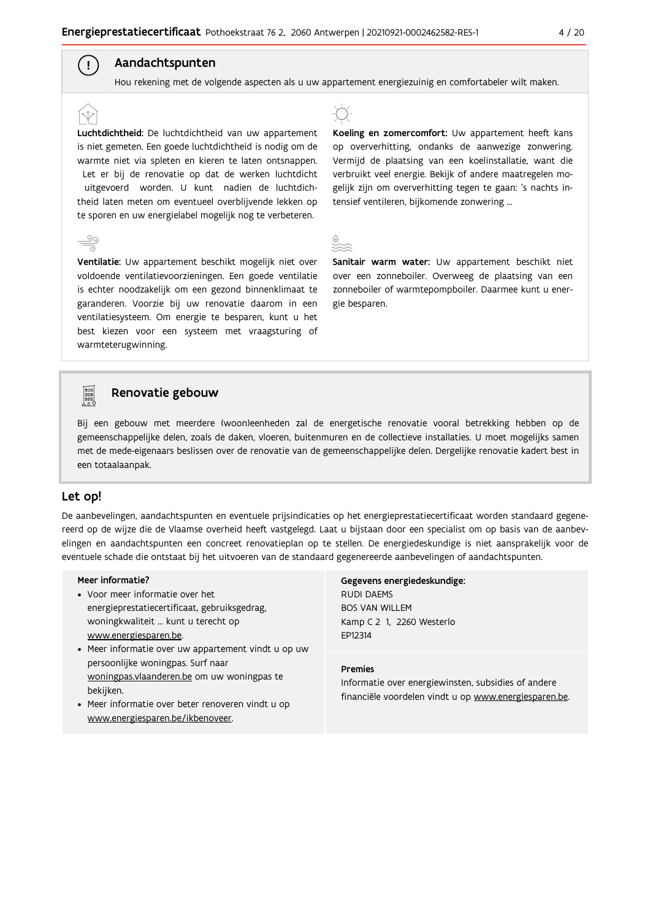## Aandachtspunten

 $\left( \begin{array}{c} 1 \end{array} \right)$ 

 $\frac{5}{2}$ 

Hou rekening met de volgende aspecten als u uw appartement energiezuinig en comfortabeler wilt maken.

Luchtdichtheid: De luchtdichtheid van uw appartement is niet gemeten. Een goede luchtdichtheid is nodig om de warmte niet via spleten en kieren te laten ontsnappen. Let er bij de renovatie op dat de werken luchtdicht uitgevoerd worden. U kunt nadien de luchtdichtheid laten meten om eventueel overblijvende lekken op te sporen en uw energielabel mogelijk nog te verbeteren.

Ventilatie: Uw appartement beschikt mogelijk niet over voldoende ventilatievoorzieningen. Een goede ventilatie is echter noodzakelijk om een gezond binnenklimaat te garanderen. Voorzie bij uw renovatie daarom in een ventilatiesysteem. Om energie te besparen, kunt u het best kiezen voor een systeem met vraagsturing of warmteterugwinning.



Koeling en zomercomfort: Uw appartement heeft kans op oververhitting, ondanks de aanwezige zonwering. Vermijd de plaatsing van een koelinstallatie, want die verbruikt veel energie. Bekijk of andere maatregelen mogelijk zijn om oververhitting tegen te gaan: 's nachts intensief ventileren, bijkomende zonwering ...



Sanitair warm water: Uw appartement beschikt niet over een zonneboiler. Overweeg de plaatsing van een zonneboiler of warmtepompboiler. Daarmee kunt u energie besparen.



#### Renovatie gebouw

Bij een gebouw met meerdere (woon)eenheden zal de energetische renovatie vooral betrekking hebben op de gemeenschappelijke delen, zoals de daken, vloeren, buitenmuren en de collectieve installaties. U moet mogelijks samen met de mede-eigenaars beslissen over de renovatie van de gemeenschappelijke delen. Dergelijke renovatie kadert best in een totaalaanpak.

### Let op!

De aanbevelingen, aandachtspunten en eventuele prijsindicaties op het energieprestatiecertificaat worden standaard gegenereerd op de wijze die de Vlaamse overheid heeft vastgelegd. Laat u bijstaan door een specialist om op basis van de aanbevelingen en aandachtspunten een concreet renovatieplan op te stellen. De energiedeskundige is niet aansprakelijk voor de eventuele schade die ontstaat bij het uitvoeren van de standaard gegenereerde aanbevelingen of aandachtspunten.

#### Meer informatie?

- Voor meer informatie over het energieprestatiecertificaat, gebruiksgedrag, woningkwaliteit ... kunt u terecht op www.energiesparen.be.
- Meer informatie over uw appartement vindt u op uw persoonlijke woningpas. Surf naar woningpas.vlaanderen.be om uw woningpas te bekijken.
- Meer informatie over beter renoveren vindt u op www.energiesparen.be/ikbenoveer.

## Gegevens energiedeskundige: **RUDI DAEMS BOS VAN WILLEM**

Kamp C 2 1, 2260 Westerlo EP12314

#### **Premies**

Informatie over energiewinsten, subsidies of andere financiële voordelen vindt u op www.energiesparen.be.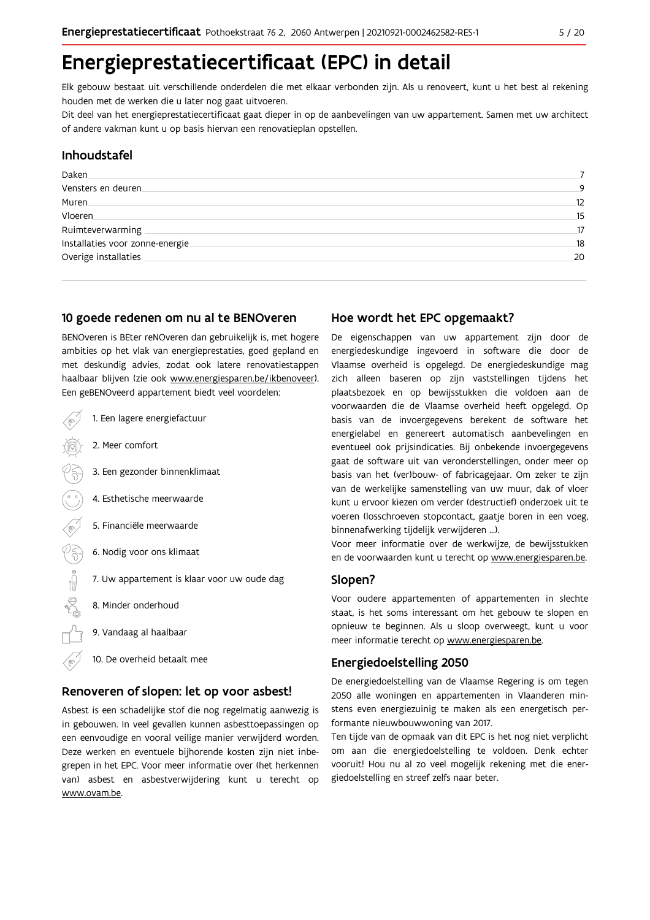## Energieprestatiecertificaat (EPC) in detail

Elk gebouw bestaat uit verschillende onderdelen die met elkaar verbonden zijn. Als u renoveert, kunt u het best al rekening houden met de werken die u later nog gaat uitvoeren.

Dit deel van het energieprestatiecertificaat gaat dieper in op de aanbevelingen van uw appartement. Samen met uw architect of andere vakman kunt u op basis hiervan een renovatieplan opstellen.

## Inhoudstafel

| Daken                            |    |
|----------------------------------|----|
| Vensters en deuren               | 9  |
| Muren.                           | 12 |
| Vloeren                          | 15 |
| Ruimteverwarming                 | 17 |
| Installaties voor zonne-energie. | 18 |
| Overige installaties             | 20 |
|                                  |    |

## 10 goede redenen om nu al te BENOveren

BENOveren is BEter reNOveren dan gebruikelijk is, met hogere ambities op het vlak van energieprestaties, goed gepland en met deskundig advies, zodat ook latere renovatiestappen haalbaar blijven (zie ook www.energiesparen.be/ikbenoveer). Een geBENOveerd appartement biedt veel voordelen:

| 1. Een lagere energiefactuur                |
|---------------------------------------------|
| 2. Meer comfort                             |
| 3. Een gezonder binnenklimaat               |
| 4. Esthetische meerwaarde                   |
| 5. Financiële meerwaarde                    |
| 6. Nodig voor ons klimaat                   |
| 7. Uw appartement is klaar voor uw oude dag |
| 8. Minder onderhoud                         |
| 9. Vandaag al haalbaar                      |
| 10. De overheid betaalt mee                 |

## Renoveren of slopen: let op voor asbest!

Asbest is een schadelijke stof die nog regelmatig aanwezig is in gebouwen. In veel gevallen kunnen asbesttoepassingen op een eenvoudige en vooral veilige manier verwijderd worden. Deze werken en eventuele bijhorende kosten zijn niet inbegrepen in het EPC. Voor meer informatie over (het herkennen van) asbest en asbestverwijdering kunt u terecht op www.ovam.be.

## Hoe wordt het EPC opgemaakt?

De eigenschappen van uw appartement zijn door de energiedeskundige ingevoerd in software die door de Vlaamse overheid is opgelegd. De energiedeskundige mag zich alleen baseren op zijn vaststellingen tijdens het plaatsbezoek en op bewijsstukken die voldoen aan de voorwaarden die de Vlaamse overheid heeft opgelegd. Op basis van de invoergegevens berekent de software het energielabel en genereert automatisch aanbevelingen en eventueel ook prijsindicaties. Bij onbekende invoergegevens gaat de software uit van veronderstellingen, onder meer op basis van het (ver)bouw- of fabricagejaar. Om zeker te zijn van de werkelijke samenstelling van uw muur, dak of vloer kunt u ervoor kiezen om verder (destructief) onderzoek uit te voeren (losschroeven stopcontact, gaatje boren in een voeg, binnenafwerking tijdelijk verwijderen ...).

Voor meer informatie over de werkwijze, de bewijsstukken en de voorwaarden kunt u terecht op www.energiesparen.be.

### Slopen?

Voor oudere appartementen of appartementen in slechte staat, is het soms interessant om het gebouw te slopen en opnieuw te beginnen. Als u sloop overweegt, kunt u voor meer informatie terecht op www.energiesparen.be.

## **Energiedoelstelling 2050**

De energiedoelstelling van de Vlaamse Regering is om tegen 2050 alle woningen en appartementen in Vlaanderen minstens even energiezuinig te maken als een energetisch performante nieuwbouwwoning van 2017.

Ten tijde van de opmaak van dit EPC is het nog niet verplicht om aan die energiedoelstelling te voldoen. Denk echter vooruit! Hou nu al zo veel mogelijk rekening met die energiedoelstelling en streef zelfs naar beter.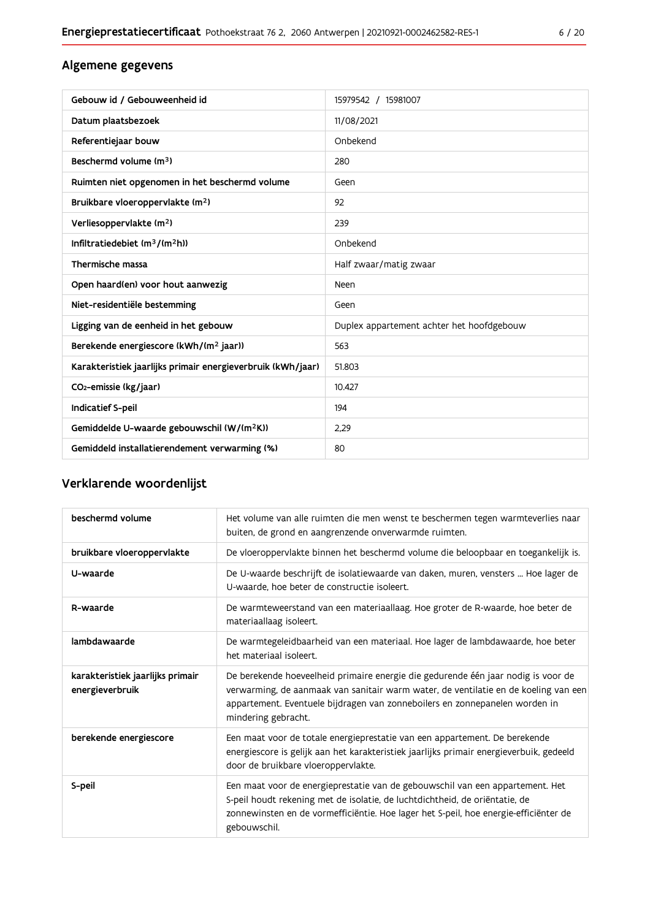## Algemene gegevens

| Gebouw id / Gebouweenheid id                                | 15979542 / 15981007                       |
|-------------------------------------------------------------|-------------------------------------------|
| Datum plaatsbezoek                                          | 11/08/2021                                |
| Referentiejaar bouw                                         | Onbekend                                  |
| Beschermd volume (m <sup>3</sup> )                          | 280                                       |
| Ruimten niet opgenomen in het beschermd volume              | Geen                                      |
| Bruikbare vloeroppervlakte (m <sup>2</sup> )                | 92                                        |
| Verliesoppervlakte (m <sup>2</sup> )                        | 239                                       |
| Infiltratiedebiet $(m^3/(m^2h))$                            | Onbekend                                  |
| Thermische massa                                            | Half zwaar/matig zwaar                    |
| Open haard(en) voor hout aanwezig                           | Neen                                      |
| Niet-residentiële bestemming                                | Geen                                      |
| Ligging van de eenheid in het gebouw                        | Duplex appartement achter het hoofdgebouw |
| Berekende energiescore (kWh/(m <sup>2</sup> jaar))          | 563                                       |
| Karakteristiek jaarlijks primair energieverbruik (kWh/jaar) | 51.803                                    |
| CO <sub>2</sub> -emissie (kg/jaar)                          | 10.427                                    |
| Indicatief S-peil                                           | 194                                       |
| Gemiddelde U-waarde gebouwschil (W/(m <sup>2</sup> K))      | 2,29                                      |
| Gemiddeld installatierendement verwarming (%)               | 80                                        |

## Verklarende woordenlijst

| beschermd volume                                    | Het volume van alle ruimten die men wenst te beschermen tegen warmteverlies naar<br>buiten, de grond en aangrenzende onverwarmde ruimten.                                                                                                                                      |
|-----------------------------------------------------|--------------------------------------------------------------------------------------------------------------------------------------------------------------------------------------------------------------------------------------------------------------------------------|
| bruikbare vloeroppervlakte                          | De vloeroppervlakte binnen het beschermd volume die beloopbaar en toegankelijk is.                                                                                                                                                                                             |
| U-waarde                                            | De U-waarde beschrijft de isolatiewaarde van daken, muren, vensters  Hoe lager de<br>U-waarde, hoe beter de constructie isoleert.                                                                                                                                              |
| R-waarde                                            | De warmteweerstand van een materiaallaag. Hoe groter de R-waarde, hoe beter de<br>materiaallaag isoleert.                                                                                                                                                                      |
| lambdawaarde                                        | De warmtegeleidbaarheid van een materiaal. Hoe lager de lambdawaarde, hoe beter<br>het materiaal isoleert.                                                                                                                                                                     |
| karakteristiek jaarlijks primair<br>energieverbruik | De berekende hoeveelheid primaire energie die gedurende één jaar nodig is voor de<br>verwarming, de aanmaak van sanitair warm water, de ventilatie en de koeling van een<br>appartement. Eventuele bijdragen van zonneboilers en zonnepanelen worden in<br>mindering gebracht. |
| berekende energiescore                              | Een maat voor de totale energieprestatie van een appartement. De berekende<br>energiescore is gelijk aan het karakteristiek jaarlijks primair energieverbuik, gedeeld<br>door de bruikbare vloeroppervlakte.                                                                   |
| S-peil                                              | Een maat voor de energieprestatie van de gebouwschil van een appartement. Het<br>S-peil houdt rekening met de isolatie, de luchtdichtheid, de oriëntatie, de<br>zonnewinsten en de vormefficiëntie. Hoe lager het S-peil, hoe energie-efficiënter de<br>gebouwschil.           |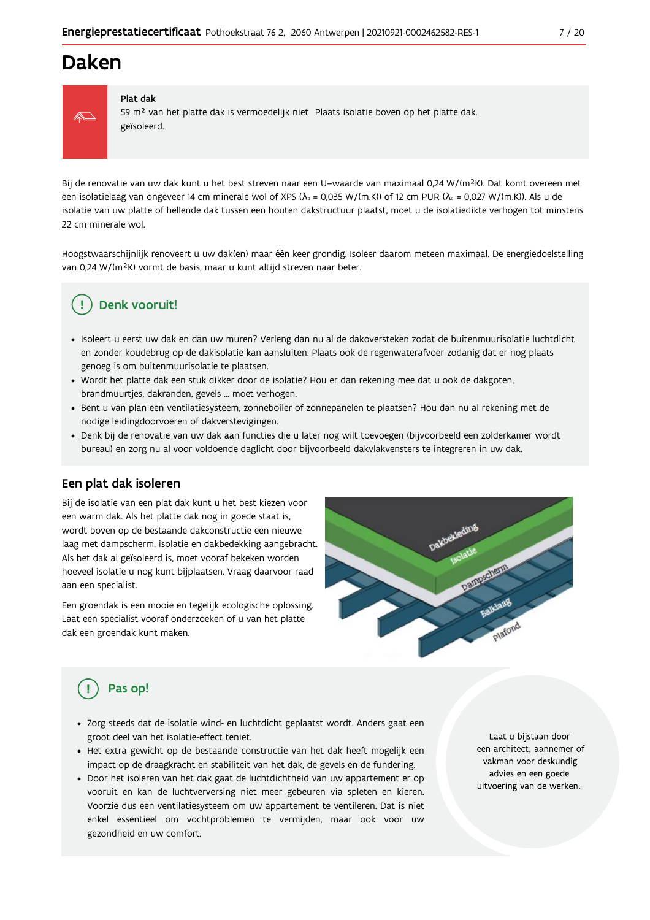## Daken



#### Plat dak

59 m<sup>2</sup> van het platte dak is vermoedelijk niet Plaats isolatie boven op het platte dak. geïsoleerd.

Bij de renovatie van uw dak kunt u het best streven naar een U-waarde van maximaal 0,24 W/(m<sup>2</sup>K). Dat komt overeen met een isolatielaag van ongeveer 14 cm minerale wol of XPS ( $\lambda_a$  = 0,035 W/(m.K)) of 12 cm PUR ( $\lambda_a$  = 0,027 W/(m.K)). Als u de isolatie van uw platte of hellende dak tussen een houten dakstructuur plaatst, moet u de isolatiedikte verhogen tot minstens 22 cm minerale wol.

Hoogstwaarschijnlijk renoveert u uw daklen) maar één keer grondig. Isoleer daarom meteen maximaal. De energiedoelstelling van 0,24 W/(m<sup>2</sup>K) vormt de basis, maar u kunt altijd streven naar beter.

## Denk vooruit!

- · Isoleert u eerst uw dak en dan uw muren? Verleng dan nu al de dakoversteken zodat de buitenmuurisolatie luchtdicht en zonder koudebrug op de dakisolatie kan aansluiten. Plaats ook de regenwaterafvoer zodanig dat er nog plaats genoeg is om buitenmuurisolatie te plaatsen.
- · Wordt het platte dak een stuk dikker door de isolatie? Hou er dan rekening mee dat u ook de dakgoten, brandmuurtjes, dakranden, gevels ... moet verhogen.
- Bent u van plan een ventilatiesysteem, zonneboiler of zonnepanelen te plaatsen? Hou dan nu al rekening met de nodige leidingdoorvoeren of dakverstevigingen.
- · Denk bij de renovatie van uw dak aan functies die u later nog wilt toevoegen (bijvoorbeeld een zolderkamer wordt bureau) en zorg nu al voor voldoende daglicht door bijvoorbeeld dakvlakvensters te integreren in uw dak.

## Een plat dak isoleren

Bij de isolatie van een plat dak kunt u het best kiezen voor een warm dak. Als het platte dak nog in goede staat is, wordt boven op de bestaande dakconstructie een nieuwe laag met dampscherm, isolatie en dakbedekking aangebracht. Als het dak al geïsoleerd is, moet vooraf bekeken worden hoeveel isolatie u nog kunt bijplaatsen. Vraag daarvoor raad aan een specialist.

Een groendak is een mooie en tegelijk ecologische oplossing. Laat een specialist vooraf onderzoeken of u van het platte dak een groendak kunt maken.



## Pas op!

- · Zorg steeds dat de isolatie wind- en luchtdicht geplaatst wordt. Anders gaat een groot deel van het isolatie-effect teniet.
- · Het extra gewicht op de bestaande constructie van het dak heeft mogelijk een impact op de draagkracht en stabiliteit van het dak, de gevels en de fundering.
- · Door het isoleren van het dak gaat de luchtdichtheid van uw appartement er op vooruit en kan de luchtverversing niet meer gebeuren via spleten en kieren. Voorzie dus een ventilatiesysteem om uw appartement te ventileren. Dat is niet enkel essentieel om vochtproblemen te vermijden, maar ook voor uw gezondheid en uw comfort.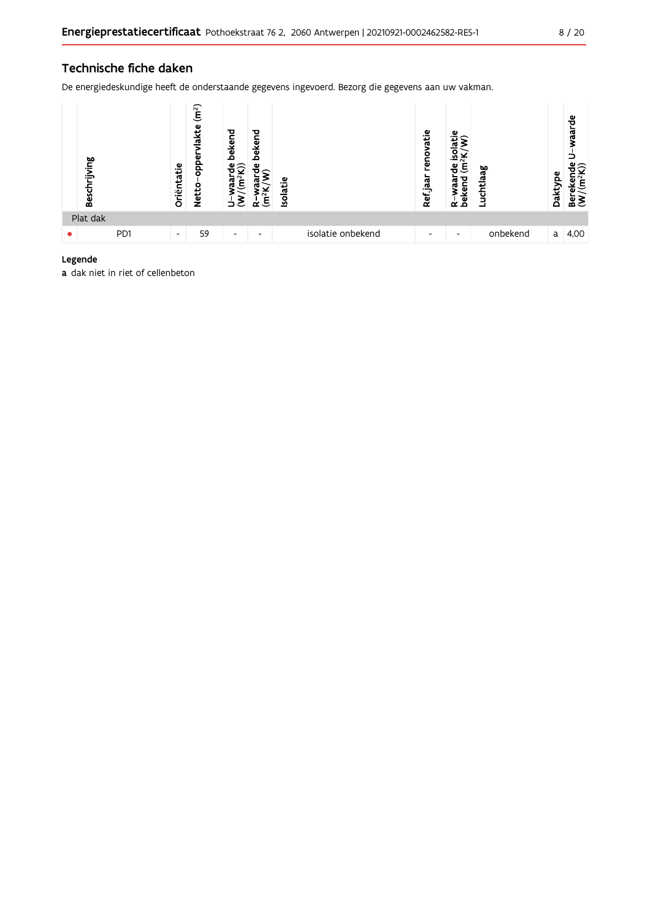## Technische fiche daken

De energiedeskundige heeft de onderstaande gegevens ingevoerd. Bezorg die gegevens aan uw vakman.



Legende

a dak niet in riet of cellenbeton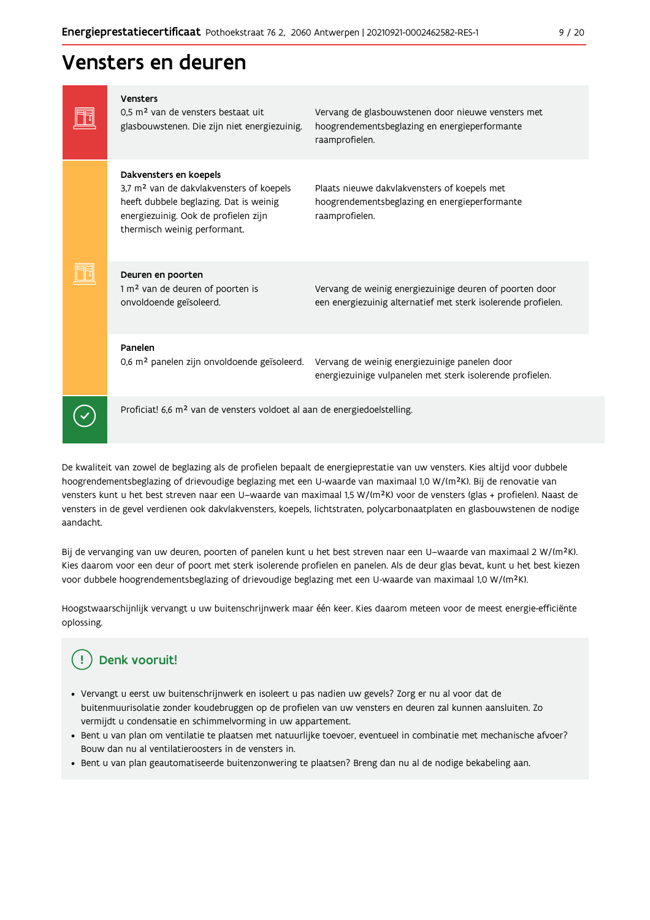## Vensters en deuren

| Vensters<br>0.5 m <sup>2</sup> van de vensters bestaat uit<br>glasbouwstenen. Die zijn niet energiezuinig.                                                                                       | Vervang de glasbouwstenen door nieuwe vensters met<br>hoogrendementsbeglazing en energieperformante<br>raamprofielen.    |
|--------------------------------------------------------------------------------------------------------------------------------------------------------------------------------------------------|--------------------------------------------------------------------------------------------------------------------------|
| Dakvensters en koepels<br>3,7 m <sup>2</sup> van de dakvlakvensters of koepels<br>heeft dubbele beglazing. Dat is weinig<br>energiezuinig. Ook de profielen zijn<br>thermisch weinig performant. | Plaats nieuwe dakvlakvensters of koepels met<br>hoogrendementsbeglazing en energieperformante<br>raamprofielen.          |
| Deuren en poorten<br>1 m <sup>2</sup> van de deuren of poorten is<br>onvoldoende geïsoleerd.                                                                                                     | Vervang de weinig energiezuinige deuren of poorten door<br>een energiezuinig alternatief met sterk isolerende profielen. |
| Panelen<br>0,6 m <sup>2</sup> panelen zijn onvoldoende geïsoleerd.                                                                                                                               | Vervang de weinig energiezuinige panelen door<br>energiezuinige vulpanelen met sterk isolerende profielen.               |
| Proficiat! 6,6 m <sup>2</sup> van de vensters voldoet al aan de energiedoelstelling.                                                                                                             |                                                                                                                          |

De kwaliteit van zowel de beglazing als de profielen bepaalt de energieprestatie van uw vensters. Kies altijd voor dubbele hoogrendementsbeglazing of drievoudige beglazing met een U-waarde van maximaal 1,0 W/(m<sup>2</sup>K). Bij de renovatie van vensters kunt u het best streven naar een U-waarde van maximaal 1,5 W/(m<sup>2</sup>K) voor de vensters (glas + profielen). Naast de vensters in de gevel verdienen ook dakvlakvensters, koepels, lichtstraten, polycarbonaatplaten en glasbouwstenen de nodige aandacht.

Bij de vervanging van uw deuren, poorten of panelen kunt u het best streven naar een U-waarde van maximaal 2 W/(m<sup>2</sup>K). Kies daarom voor een deur of poort met sterk isolerende profielen en panelen. Als de deur glas bevat, kunt u het best kiezen voor dubbele hoogrendementsbeglazing of drievoudige beglazing met een U-waarde van maximaal 1,0 W/(m<sup>2</sup>K).

Hoogstwaarschijnlijk vervangt u uw buitenschrijnwerk maar één keer. Kies daarom meteen voor de meest energie-efficiënte oplossing.

#### J. Denk vooruit!

- · Vervangt u eerst uw buitenschrijnwerk en isoleert u pas nadien uw gevels? Zorg er nu al voor dat de buitenmuurisolatie zonder koudebruggen op de profielen van uw vensters en deuren zal kunnen aansluiten. Zo vermijdt u condensatie en schimmelvorming in uw appartement.
- Bent u van plan om ventilatie te plaatsen met natuurlijke toevoer, eventueel in combinatie met mechanische afvoer? Bouw dan nu al ventilatieroosters in de vensters in.
- · Bent u van plan geautomatiseerde buitenzonwering te plaatsen? Breng dan nu al de nodige bekabeling aan.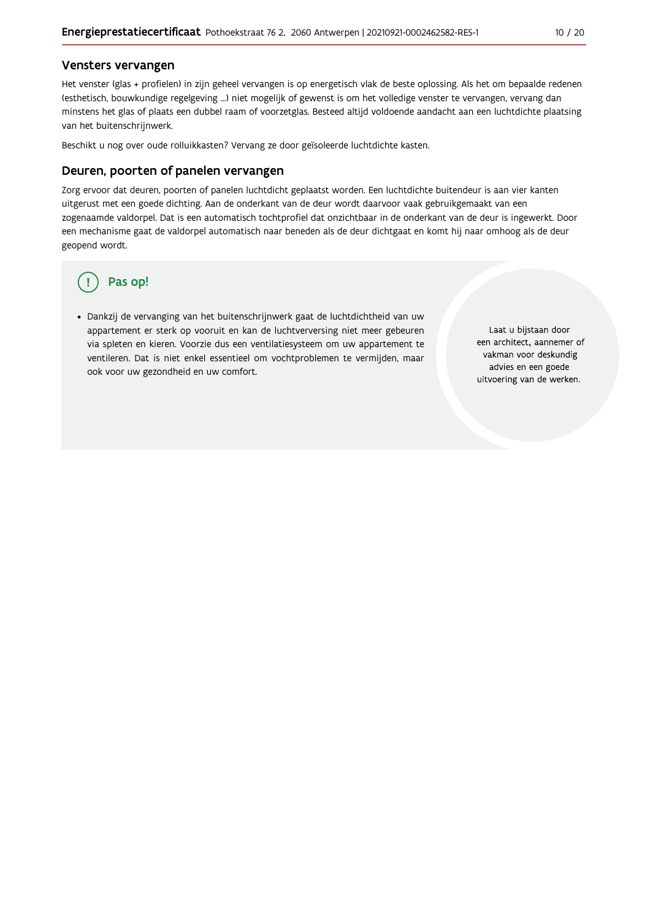### Vensters vervangen

Het venster (glas + profielen) in zijn geheel vervangen is op energetisch vlak de beste oplossing. Als het om bepaalde redenen (esthetisch, bouwkundige regelgeving ...) niet mogelijk of gewenst is om het volledige venster te vervangen, vervang dan minstens het glas of plaats een dubbel raam of voorzetglas. Besteed altijd voldoende aandacht aan een luchtdichte plaatsing van het buitenschrijnwerk.

Beschikt u nog over oude rolluikkasten? Vervang ze door geïsoleerde luchtdichte kasten.

#### Deuren, poorten of panelen vervangen

Zorg ervoor dat deuren, poorten of panelen luchtdicht geplaatst worden. Een luchtdichte buitendeur is aan vier kanten uitgerust met een goede dichting. Aan de onderkant van de deur wordt daarvoor vaak gebruikgemaakt van een zogenaamde valdorpel. Dat is een automatisch tochtprofiel dat onzichtbaar in de onderkant van de deur is ingewerkt. Door een mechanisme gaat de valdorpel automatisch naar beneden als de deur dichtgaat en komt hij naar omhoog als de deur geopend wordt.

## Pas op!

· Dankzij de vervanging van het buitenschrijnwerk gaat de luchtdichtheid van uw appartement er sterk op vooruit en kan de luchtverversing niet meer gebeuren via spleten en kieren. Voorzie dus een ventilatiesysteem om uw appartement te ventileren. Dat is niet enkel essentieel om vochtproblemen te vermijden, maar ook voor uw gezondheid en uw comfort.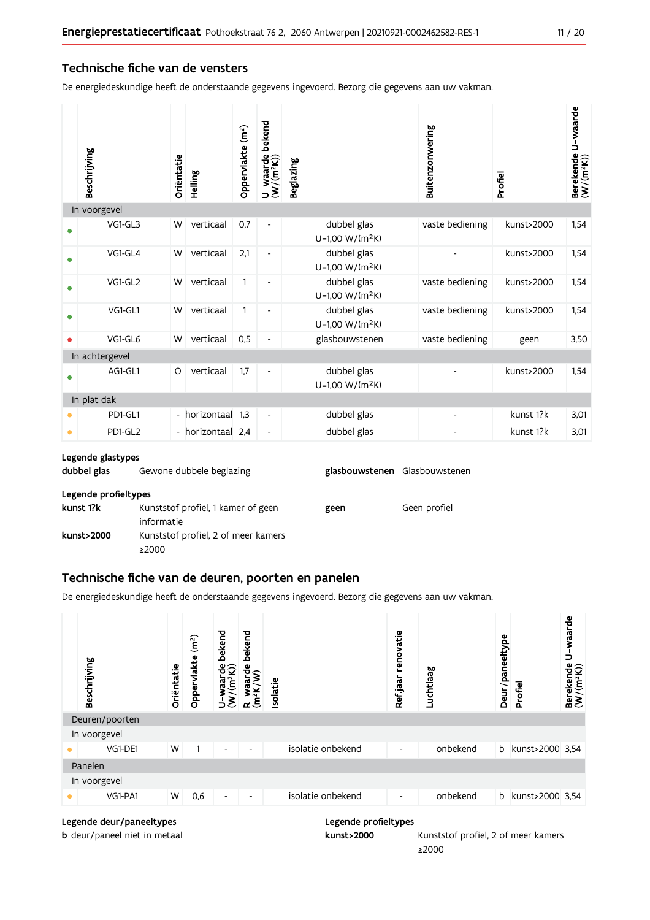## Technische fiche van de vensters

De energiedeskundige heeft de onderstaande gegevens ingevoerd. Bezorg die gegevens aan uw vakman.

|           | Beschrijving   | Oriëntatie               | Helling         | Oppervlakte (m <sup>2</sup> ) | bekend<br>$U$ –waarde l $(W/(m^2K))$ | <b>Beglazing</b>                           | Buitenzonwering | Profiel    | Berekende U-waarde<br>(W/(m <sup>2</sup> K)) |
|-----------|----------------|--------------------------|-----------------|-------------------------------|--------------------------------------|--------------------------------------------|-----------------|------------|----------------------------------------------|
|           | In voorgevel   |                          |                 |                               |                                      |                                            |                 |            |                                              |
|           | VG1-GL3        | W                        | verticaal       | 0,7                           | $\overline{\phantom{a}}$             | dubbel glas<br>U=1,00 W/(m <sup>2</sup> K) | vaste bediening | kunst>2000 | 1,54                                         |
|           | VG1-GL4        | W                        | verticaal       | 2,1                           | -                                    | dubbel glas<br>U=1,00 W/(m <sup>2</sup> K) |                 | kunst>2000 | 1,54                                         |
|           | VG1-GL2        | W                        | verticaal       | $\mathbf{1}$                  |                                      | dubbel glas<br>$U=1,00 W/(m^2K)$           | vaste bediening | kunst>2000 | 1,54                                         |
| ٠         | VG1-GL1        | W                        | verticaal       | $\mathbf{1}$                  | $\qquad \qquad \blacksquare$         | dubbel glas<br>U=1,00 W/(m <sup>2</sup> K) | vaste bediening | kunst>2000 | 1,54                                         |
|           | VG1-GL6        | W                        | verticaal       | 0,5                           |                                      | glasbouwstenen                             | vaste bediening | geen       | 3,50                                         |
|           | In achtergevel |                          |                 |                               |                                      |                                            |                 |            |                                              |
|           | AG1-GL1        | O                        | verticaal       | 1.7                           | $\overline{\phantom{a}}$             | dubbel glas<br>U=1,00 W/(m <sup>2</sup> K) |                 | kunst>2000 | 1.54                                         |
|           | In plat dak    |                          |                 |                               |                                      |                                            |                 |            |                                              |
|           | PD1-GL1        | $\overline{\phantom{a}}$ | horizontaal     | 1.3                           | $\overline{\phantom{a}}$             | dubbel glas                                | -               | kunst 1?k  | 3,01                                         |
| $\bullet$ | PD1-GL2        |                          | horizontaal 2,4 |                               | $\overline{\phantom{a}}$             | dubbel glas                                |                 | kunst 1?k  | 3,01                                         |

#### Legende glastypes

| dubbel glas          | Gewone dubbele beglazing                         | glasbouwstenen Glasbouwstenen |              |
|----------------------|--------------------------------------------------|-------------------------------|--------------|
| Legende profieltypes |                                                  |                               |              |
| kunst 1?k            | Kunststof profiel, 1 kamer of geen<br>informatie | geen                          | Geen profiel |
| kunst>2000           | Kunststof profiel, 2 of meer kamers<br>≥2000     |                               |              |

## Technische fiche van de deuren, poorten en panelen

De energiedeskundige heeft de onderstaande gegevens ingevoerd. Bezorg die gegevens aan uw vakman.



#### Legende deur/paneeltypes

b deur/paneel niet in metaal

kunst>2000 Kunststof profiel, 2 of meer kamers ≥2000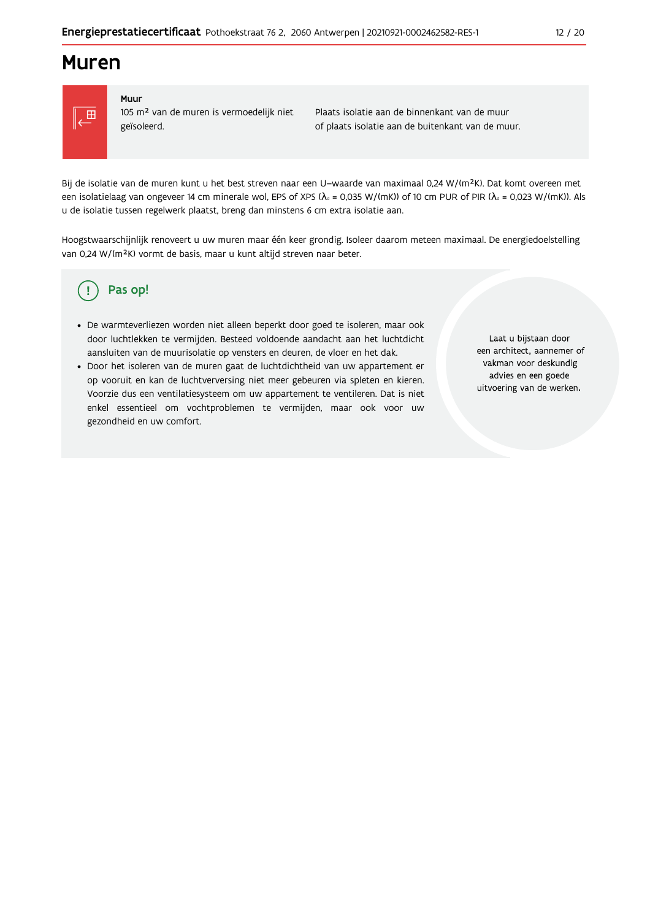## **Muren**



#### Muur

105 m<sup>2</sup> van de muren is vermoedelijk niet geïsoleerd.

Plaats isolatie aan de binnenkant van de muur of plaats isolatie aan de buitenkant van de muur.

Bij de isolatie van de muren kunt u het best streven naar een U-waarde van maximaal 0,24 W/(m<sup>2</sup>K). Dat komt overeen met een isolatielaag van ongeveer 14 cm minerale wol, EPS of XPS ( $\lambda_a$  = 0,035 W/(mK)) of 10 cm PUR of PIR ( $\lambda_a$  = 0,023 W/(mK)). Als u de isolatie tussen regelwerk plaatst, breng dan minstens 6 cm extra isolatie aan.

Hoogstwaarschijnlijk renoveert u uw muren maar één keer grondig. Isoleer daarom meteen maximaal. De energiedoelstelling van 0,24 W/(m<sup>2</sup>K) vormt de basis, maar u kunt altijd streven naar beter.

#### Pas op! (၂

- · De warmteverliezen worden niet alleen beperkt door goed te isoleren, maar ook door luchtlekken te vermijden. Besteed voldoende aandacht aan het luchtdicht aansluiten van de muurisolatie op vensters en deuren, de vloer en het dak.
- · Door het isoleren van de muren gaat de luchtdichtheid van uw appartement er op vooruit en kan de luchtverversing niet meer gebeuren via spleten en kieren. Voorzie dus een ventilatiesysteem om uw appartement te ventileren. Dat is niet enkel essentieel om vochtproblemen te vermijden, maar ook voor uw gezondheid en uw comfort.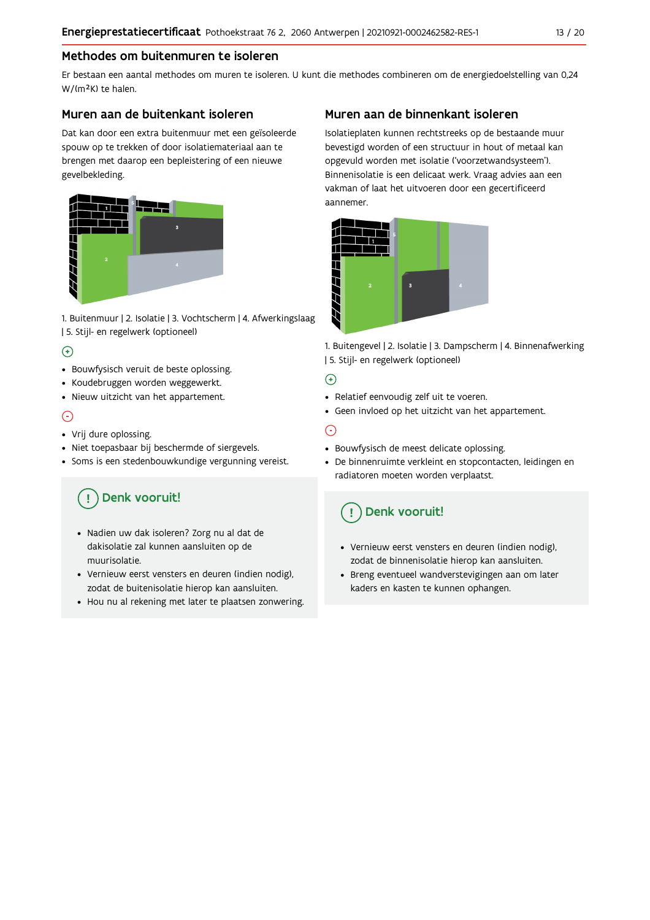## Methodes om buitenmuren te isoleren

Er bestaan een aantal methodes om muren te isoleren. U kunt die methodes combineren om de energiedoelstelling van 0,24 W/(m<sup>2</sup>K) te halen.

## Muren aan de buitenkant isoleren

Dat kan door een extra buitenmuur met een geïsoleerde spouw op te trekken of door isolatiemateriaal aan te brengen met daarop een bepleistering of een nieuwe gevelbekleding.



1. Buitenmuur | 2. Isolatie | 3. Vochtscherm | 4. Afwerkingslaag | 5. Stijl- en regelwerk (optioneel)

## $\bigoplus$

- Bouwfysisch veruit de beste oplossing.
- Koudebruggen worden weggewerkt.
- · Nieuw uitzicht van het appartement.

## $\odot$

- Vrij dure oplossing.
- · Niet toepasbaar bij beschermde of siergevels.
- Soms is een stedenbouwkundige vergunning vereist.

## Denk vooruit!

- · Nadien uw dak isoleren? Zorg nu al dat de dakisolatie zal kunnen aansluiten op de muurisolatie.
- · Vernieuw eerst vensters en deuren (indien nodig), zodat de buitenisolatie hierop kan aansluiten.
- Hou nu al rekening met later te plaatsen zonwering.

## Muren aan de binnenkant isoleren

Isolatieplaten kunnen rechtstreeks op de bestaande muur bevestigd worden of een structuur in hout of metaal kan opgevuld worden met isolatie ('voorzetwandsysteem'). Binnenisolatie is een delicaat werk. Vraag advies aan een vakman of laat het uitvoeren door een gecertificeerd aannemer



1. Buitengevel | 2. Isolatie | 3. Dampscherm | 4. Binnenafwerking | 5. Stijl- en regelwerk (optioneel)

## $\bigoplus$

- Relatief eenvoudig zelf uit te voeren.
- Geen invloed op het uitzicht van het appartement.

## ⊝

- Bouwfysisch de meest delicate oplossing.
- · De binnenruimte verkleint en stopcontacten, leidingen en radiatoren moeten worden verplaatst.

## Denk vooruit!

- Vernieuw eerst vensters en deuren (indien nodig), zodat de binnenisolatie hierop kan aansluiten.
- · Breng eventueel wandverstevigingen aan om later kaders en kasten te kunnen ophangen.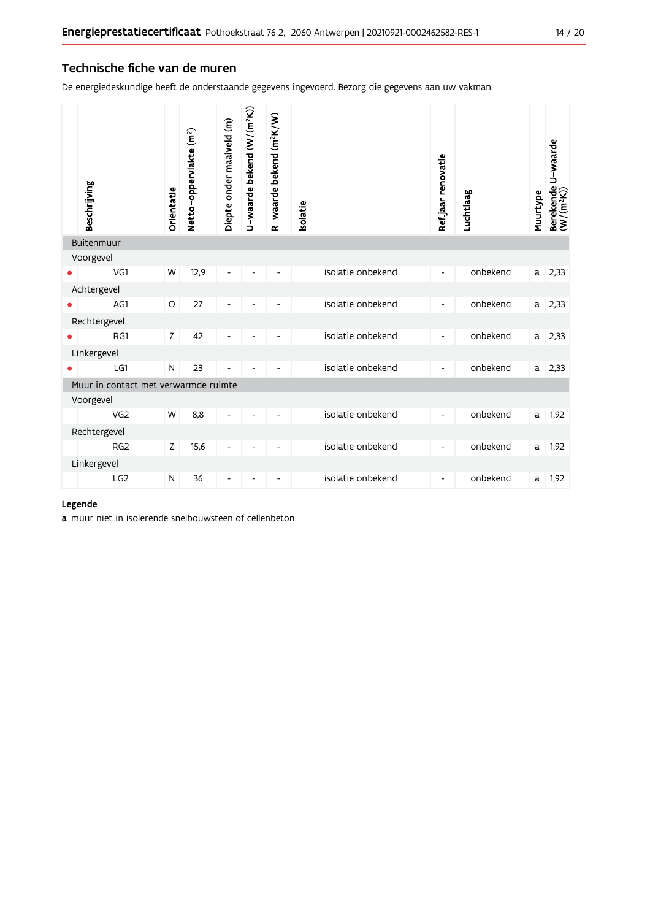## Technische fiche van de muren

De energiedeskundige heeft de onderstaande gegevens ingevoerd. Bezorg die gegevens aan uw vakman.

|            | Beschrijving                         | Oriëntatie  | Netto-oppervlakte (m <sup>2</sup> ) | Diepte onder maaiveld (m) | U-waarde bekend (W/(m <sup>2</sup> K)) | R-waarde bekend (m <sup>2</sup> K/W) | <b>Isolatie</b>   | Refjaar renovatie        | Luchtlaag | Muurtype | Berekende U-waarde<br>(W/(m <sup>2</sup> K)) |
|------------|--------------------------------------|-------------|-------------------------------------|---------------------------|----------------------------------------|--------------------------------------|-------------------|--------------------------|-----------|----------|----------------------------------------------|
| Buitenmuur |                                      |             |                                     |                           |                                        |                                      |                   |                          |           |          |                                              |
|            | Voorgevel                            |             |                                     |                           |                                        |                                      |                   |                          |           |          |                                              |
|            | VG1                                  | W           | 12,9                                |                           |                                        |                                      | isolatie onbekend | $\overline{\phantom{a}}$ | onbekend  | a        | 2,33                                         |
|            | Achtergevel                          |             |                                     |                           |                                        |                                      |                   |                          |           |          |                                              |
|            | AG1                                  | $\circ$     | 27                                  |                           |                                        |                                      | isolatie onbekend | $\overline{\phantom{a}}$ | onbekend  | a        | 2,33                                         |
|            | Rechtergevel                         |             |                                     |                           |                                        |                                      |                   |                          |           |          |                                              |
|            | RG1                                  | Z           | 42                                  |                           |                                        |                                      | isolatie onbekend | $\overline{\phantom{a}}$ | onbekend  | a        | 2,33                                         |
|            | Linkergevel                          |             |                                     |                           |                                        |                                      |                   |                          |           |          |                                              |
|            | LG1                                  | N           | 23                                  | $\overline{a}$            |                                        |                                      | isolatie onbekend | $\overline{\phantom{a}}$ | onbekend  | a        | 2,33                                         |
|            | Muur in contact met verwarmde ruimte |             |                                     |                           |                                        |                                      |                   |                          |           |          |                                              |
|            | Voorgevel                            |             |                                     |                           |                                        |                                      |                   |                          |           |          |                                              |
|            | VG <sub>2</sub>                      | W           | 8.8                                 | Ĭ.                        |                                        |                                      | isolatie onbekend | $\overline{\phantom{a}}$ | onbekend  | a        | 1,92                                         |
|            | Rechtergevel                         |             |                                     |                           |                                        |                                      |                   |                          |           |          |                                              |
|            | RG <sub>2</sub>                      | $\mathsf Z$ | 15,6                                | $\frac{1}{2}$             |                                        | $\overline{\phantom{0}}$             | isolatie onbekend | $\overline{\phantom{a}}$ | onbekend  | a        | 1,92                                         |
|            | Linkergevel                          |             |                                     |                           |                                        |                                      |                   |                          |           |          |                                              |
|            | LG2                                  | N           | 36                                  | -                         | $\overline{\phantom{a}}$               | $\overline{\phantom{a}}$             | isolatie onbekend | $\overline{\phantom{a}}$ | onbekend  | a        | 1,92                                         |
|            |                                      |             |                                     |                           |                                        |                                      |                   |                          |           |          |                                              |

### Legende

a muur niet in isolerende snelbouwsteen of cellenbeton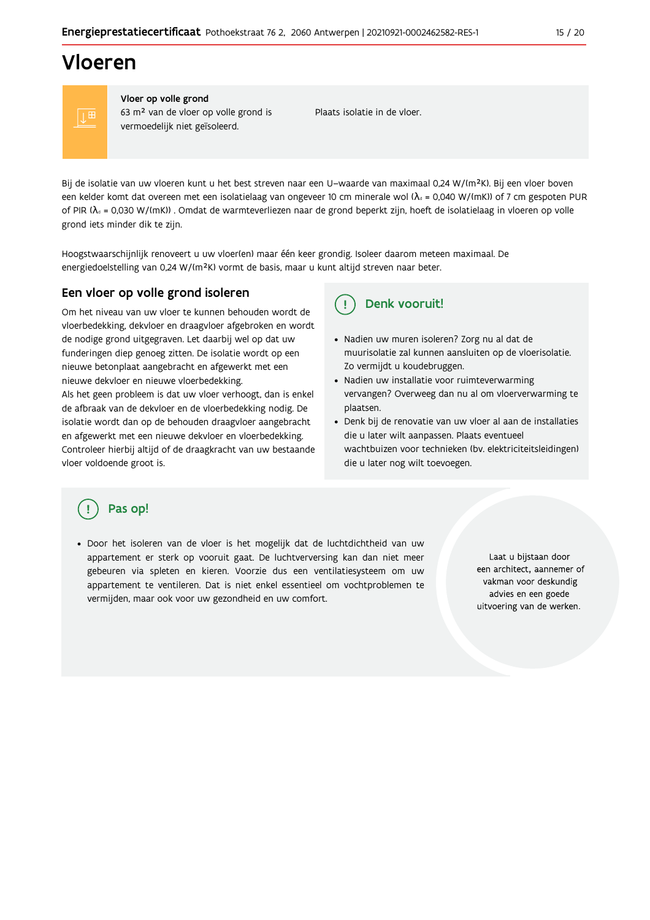## Vloeren

Vloer op volle grond 63 m<sup>2</sup> van de vloer op volle grond is vermoedelijk niet geïsoleerd.

Plaats isolatie in de vloer.

Bij de isolatie van uw vloeren kunt u het best streven naar een U-waarde van maximaal 0,24 W/(m<sup>2</sup>K). Bij een vloer boven een kelder komt dat overeen met een isolatielaag van ongeveer 10 cm minerale wol ( $\lambda_d$  = 0,040 W/(mK)) of 7 cm gespoten PUR of PIR ( $\lambda_0$  = 0,030 W/(mK)). Omdat de warmteverliezen naar de grond beperkt zijn, hoeft de isolatielaag in vloeren op volle grond iets minder dik te zijn.

Hoogstwaarschijnlijk renoveert u uw vloer(en) maar één keer grondig. Isoleer daarom meteen maximaal. De energiedoelstelling van 0,24 W/(m<sup>2</sup>K) vormt de basis, maar u kunt altijd streven naar beter.

## Een vloer op volle grond isoleren

Om het niveau van uw vloer te kunnen behouden wordt de vloerbedekking, dekvloer en draagvloer afgebroken en wordt de nodige grond uitgegraven. Let daarbij wel op dat uw funderingen diep genoeg zitten. De isolatie wordt op een nieuwe betonplaat aangebracht en afgewerkt met een nieuwe dekvloer en nieuwe vloerbedekking.

Als het geen probleem is dat uw vloer verhoogt, dan is enkel de afbraak van de dekvloer en de vloerbedekking nodig. De isolatie wordt dan op de behouden draagvloer aangebracht en afgewerkt met een nieuwe dekvloer en vloerbedekking. Controleer hierbij altijd of de draagkracht van uw bestaande vloer voldoende groot is.

#### Denk vooruit!  $\mathbf{I}$

- · Nadien uw muren isoleren? Zorg nu al dat de muurisolatie zal kunnen aansluiten op de vloerisolatie. Zo vermijdt u koudebruggen.
- Nadien uw installatie voor ruimteverwarming vervangen? Overweeg dan nu al om vloerverwarming te plaatsen.
- · Denk bij de renovatie van uw vloer al aan de installaties die u later wilt aanpassen. Plaats eventueel wachtbuizen voor technieken (bv. elektriciteitsleidingen) die u later nog wilt toevoegen.

## Pas op!

· Door het isoleren van de vloer is het mogelijk dat de luchtdichtheid van uw appartement er sterk op vooruit gaat. De luchtverversing kan dan niet meer gebeuren via spleten en kieren. Voorzie dus een ventilatiesysteem om uw appartement te ventileren. Dat is niet enkel essentieel om vochtproblemen te vermijden, maar ook voor uw gezondheid en uw comfort.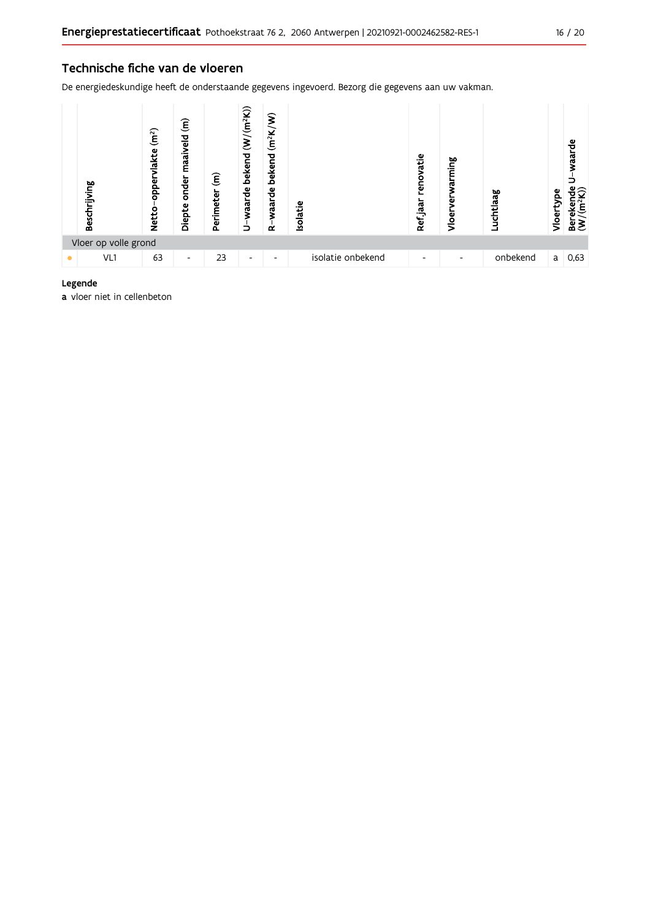## Technische fiche van de vloeren

De energiedeskundige heeft de onderstaande gegevens ingevoerd. Bezorg die gegevens aan uw vakman.



### Legende

a vloer niet in cellenbeton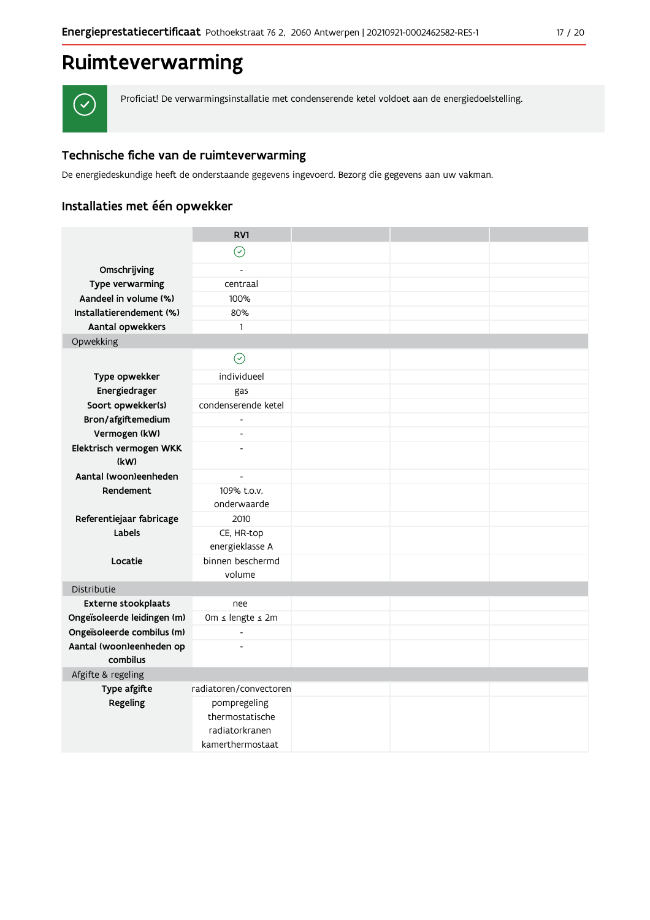## Ruimteverwarming



Proficiat! De verwarmingsinstallatie met condenserende ketel voldoet aan de energiedoelstelling.

## Technische fiche van de ruimteverwarming

De energiedeskundige heeft de onderstaande gegevens ingevoerd. Bezorg die gegevens aan uw vakman.

## Installaties met één opwekker

|                                                           | RV1                      |  |  |
|-----------------------------------------------------------|--------------------------|--|--|
|                                                           | $\odot$                  |  |  |
| Omschrijving                                              | $\overline{a}$           |  |  |
| Type verwarming                                           | centraal                 |  |  |
| Aandeel in volume (%)                                     | 100%                     |  |  |
| Installatierendement (%)                                  | 80%                      |  |  |
| Aantal opwekkers                                          | 1                        |  |  |
| Opwekking                                                 |                          |  |  |
|                                                           | $\odot$                  |  |  |
| Type opwekker                                             | individueel              |  |  |
| Energiedrager                                             | gas                      |  |  |
| Soort opwekker(s)                                         | condenserende ketel      |  |  |
| Bron/afgiftemedium                                        |                          |  |  |
| Vermogen (kW)                                             | $\overline{\phantom{a}}$ |  |  |
| Elektrisch vermogen WKK                                   | $\overline{a}$           |  |  |
| (kW)                                                      |                          |  |  |
| Aantal (woon)eenheden                                     | $\overline{\phantom{a}}$ |  |  |
| Rendement                                                 | 109% t.o.v.              |  |  |
|                                                           | onderwaarde              |  |  |
| Referentiejaar fabricage                                  | 2010                     |  |  |
| Labels                                                    | CE, HR-top               |  |  |
|                                                           | energieklasse A          |  |  |
| Locatie                                                   | binnen beschermd         |  |  |
|                                                           | volume                   |  |  |
| Distributie                                               |                          |  |  |
| <b>Externe stookplaats</b><br>Ongeïsoleerde leidingen (m) | nee<br>0m ≤ lengte ≤ 2m  |  |  |
| Ongeïsoleerde combilus (m)                                | $\overline{a}$           |  |  |
| Aantal (woon)eenheden op                                  | $\overline{a}$           |  |  |
| combilus                                                  |                          |  |  |
| Afgifte & regeling                                        |                          |  |  |
| Type afgifte                                              | radiatoren/convectoren   |  |  |
| Regeling                                                  | pompregeling             |  |  |
|                                                           | thermostatische          |  |  |
|                                                           | radiatorkranen           |  |  |
|                                                           | kamerthermostaat         |  |  |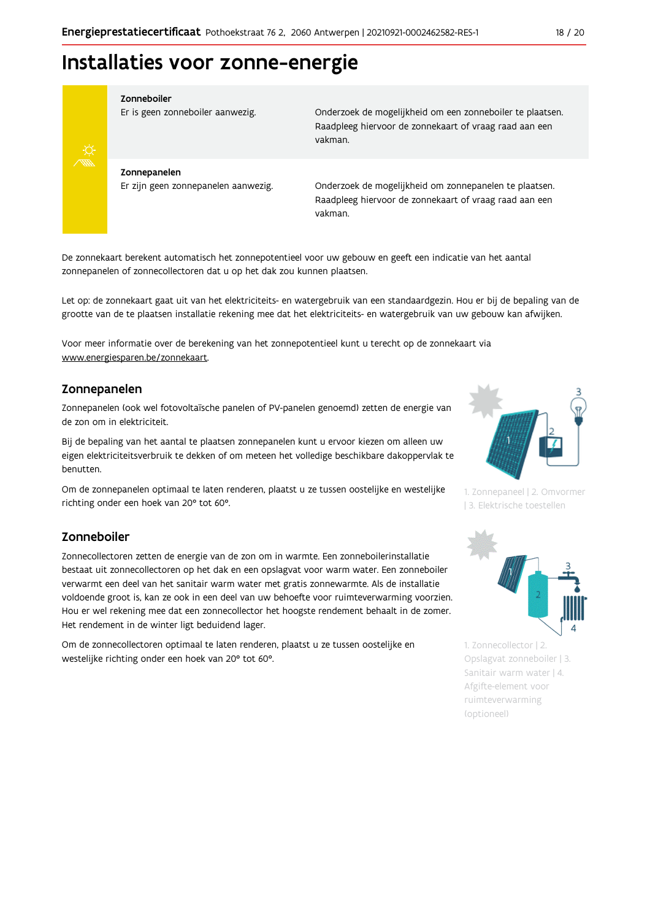## Installaties voor zonne-energie



#### Zonneboiler

Er is geen zonneboiler aanwezig.

Onderzoek de mogelijkheid om een zonneboiler te plaatsen. Raadpleeg hiervoor de zonnekaart of vraag raad aan een vakman.

Zonnepanelen Er zijn geen zonnepanelen aanwezig.

Onderzoek de mogelijkheid om zonnepanelen te plaatsen. Raadpleeg hiervoor de zonnekaart of vraag raad aan een vakman.

De zonnekaart berekent automatisch het zonnepotentieel voor uw gebouw en geeft een indicatie van het aantal zonnepanelen of zonnecollectoren dat u op het dak zou kunnen plaatsen.

Let op: de zonnekaart gaat uit van het elektriciteits- en watergebruik van een standaardgezin. Hou er bij de bepaling van de grootte van de te plaatsen installatie rekening mee dat het elektriciteits- en watergebruik van uw gebouw kan afwijken.

Voor meer informatie over de berekening van het zonnepotentieel kunt u terecht op de zonnekaart via www.energiesparen.be/zonnekaart.

## Zonnepanelen

Zonnepanelen (ook wel fotovoltaïsche panelen of PV-panelen genoemd) zetten de energie van de zon om in elektriciteit.

Bij de bepaling van het aantal te plaatsen zonnepanelen kunt u ervoor kiezen om alleen uw eigen elektriciteitsverbruik te dekken of om meteen het volledige beschikbare dakoppervlak te benutten.

Om de zonnepanelen optimaal te laten renderen, plaatst u ze tussen oostelijke en westelijke richting onder een hoek van 20° tot 60°.

## Zonneboiler

Zonnecollectoren zetten de energie van de zon om in warmte. Een zonneboilerinstallatie bestaat uit zonnecollectoren op het dak en een opslagvat voor warm water. Een zonneboiler verwarmt een deel van het sanitair warm water met gratis zonnewarmte. Als de installatie voldoende groot is, kan ze ook in een deel van uw behoefte voor ruimteverwarming voorzien. Hou er wel rekening mee dat een zonnecollector het hoogste rendement behaalt in de zomer. Het rendement in de winter ligt beduidend lager.

Om de zonnecollectoren optimaal te laten renderen, plaatst u ze tussen oostelijke en westelijke richting onder een hoek van 20° tot 60°.



1. Zonnepaneel | 2. Omvormer | 3. Elektrische toestellen



1. Zonnecollector | 2. Opslagvat zonneboiler | 3. Sanitair warm water | 4. Afgifte-element voor ruimteverwarming (optioneel)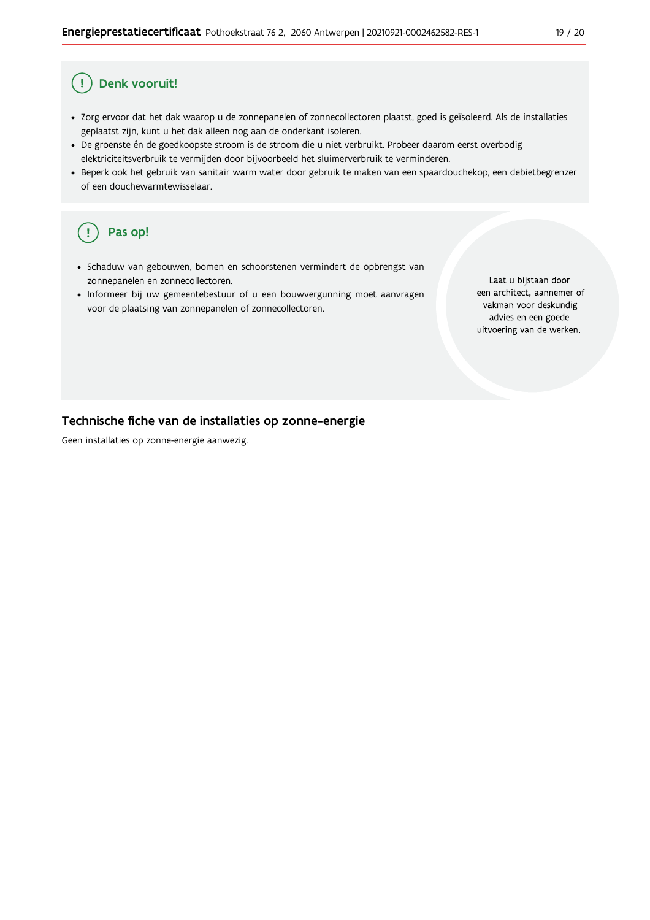#### Ţ Denk vooruit!

- · Zorg ervoor dat het dak waarop u de zonnepanelen of zonnecollectoren plaatst, goed is geïsoleerd. Als de installaties geplaatst zijn, kunt u het dak alleen nog aan de onderkant isoleren.
- · De groenste én de goedkoopste stroom is de stroom die u niet verbruikt. Probeer daarom eerst overbodig elektriciteitsverbruik te vermijden door bijvoorbeeld het sluimerverbruik te verminderen.
- · Beperk ook het gebruik van sanitair warm water door gebruik te maken van een spaardouchekop, een debietbegrenzer of een douchewarmtewisselaar.

#### Pas op! ( !

- · Schaduw van gebouwen, bomen en schoorstenen vermindert de opbrengst van zonnepanelen en zonnecollectoren.
- Informeer bij uw gemeentebestuur of u een bouwvergunning moet aanvragen voor de plaatsing van zonnepanelen of zonnecollectoren.

Laat u bijstaan door een architect, aannemer of vakman voor deskundig advies en een goede uitvoering van de werken.

## Technische fiche van de installaties op zonne-energie

Geen installaties op zonne-energie aanwezig.